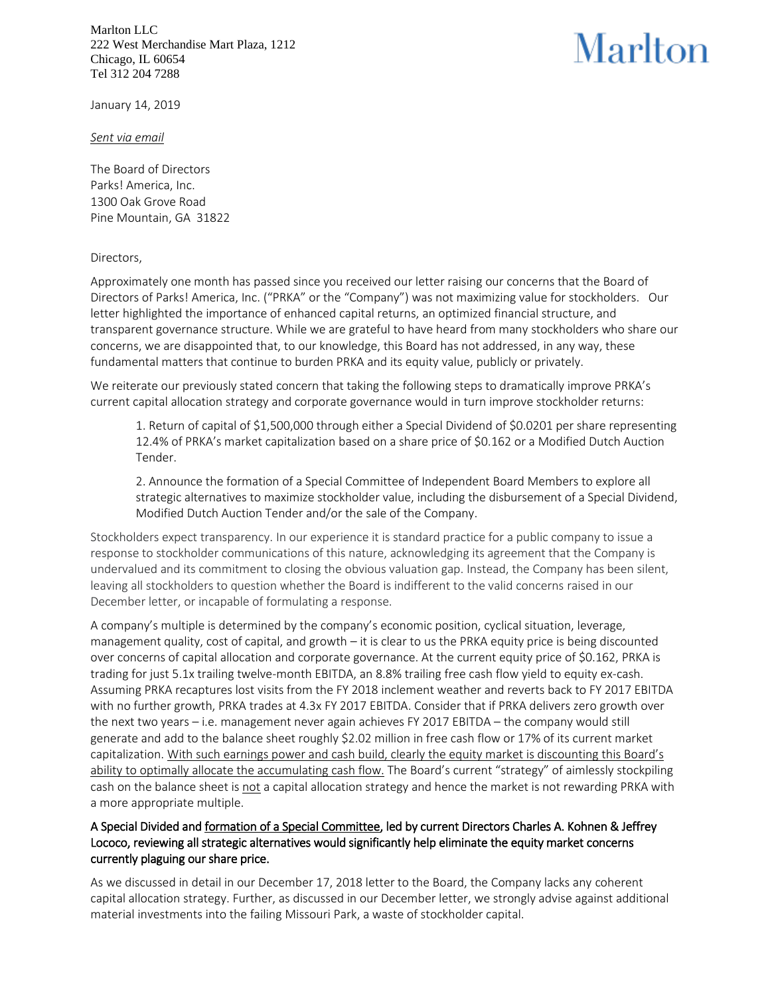Marlton LLC 222 West Merchandise Mart Plaza, 1212 Chicago, IL 60654 Tel 312 204 7288

## Marlton

January 14, 2019

*Sent via email*

The Board of Directors Parks! America, Inc. 1300 Oak Grove Road Pine Mountain, GA 31822

## Directors,

Approximately one month has passed since you received our letter raising our concerns that the Board of Directors of Parks! America, Inc. ("PRKA" or the "Company") was not maximizing value for stockholders. Our letter highlighted the importance of enhanced capital returns, an optimized financial structure, and transparent governance structure. While we are grateful to have heard from many stockholders who share our concerns, we are disappointed that, to our knowledge, this Board has not addressed, in any way, these fundamental matters that continue to burden PRKA and its equity value, publicly or privately.

We reiterate our previously stated concern that taking the following steps to dramatically improve PRKA's current capital allocation strategy and corporate governance would in turn improve stockholder returns:

1. Return of capital of \$1,500,000 through either a Special Dividend of \$0.0201 per share representing 12.4% of PRKA's market capitalization based on a share price of \$0.162 or a Modified Dutch Auction Tender.

2. Announce the formation of a Special Committee of Independent Board Members to explore all strategic alternatives to maximize stockholder value, including the disbursement of a Special Dividend, Modified Dutch Auction Tender and/or the sale of the Company.

Stockholders expect transparency. In our experience it is standard practice for a public company to issue a response to stockholder communications of this nature, acknowledging its agreement that the Company is undervalued and its commitment to closing the obvious valuation gap. Instead, the Company has been silent, leaving all stockholders to question whether the Board is indifferent to the valid concerns raised in our December letter, or incapable of formulating a response.

A company's multiple is determined by the company's economic position, cyclical situation, leverage, management quality, cost of capital, and growth – it is clear to us the PRKA equity price is being discounted over concerns of capital allocation and corporate governance. At the current equity price of \$0.162, PRKA is trading for just 5.1x trailing twelve-month EBITDA, an 8.8% trailing free cash flow yield to equity ex-cash. Assuming PRKA recaptures lost visits from the FY 2018 inclement weather and reverts back to FY 2017 EBITDA with no further growth, PRKA trades at 4.3x FY 2017 EBITDA. Consider that if PRKA delivers zero growth over the next two years – i.e. management never again achieves FY 2017 EBITDA – the company would still generate and add to the balance sheet roughly \$2.02 million in free cash flow or 17% of its current market capitalization. With such earnings power and cash build, clearly the equity market is discounting this Board's ability to optimally allocate the accumulating cash flow. The Board's current "strategy" of aimlessly stockpiling cash on the balance sheet is not a capital allocation strategy and hence the market is not rewarding PRKA with a more appropriate multiple.

## A Special Divided and formation of a Special Committee, led by current Directors Charles A. Kohnen & Jeffrey Lococo, reviewing all strategic alternatives would significantly help eliminate the equity market concerns currently plaguing our share price.

As we discussed in detail in our December 17, 2018 letter to the Board, the Company lacks any coherent capital allocation strategy. Further, as discussed in our December letter, we strongly advise against additional material investments into the failing Missouri Park, a waste of stockholder capital.